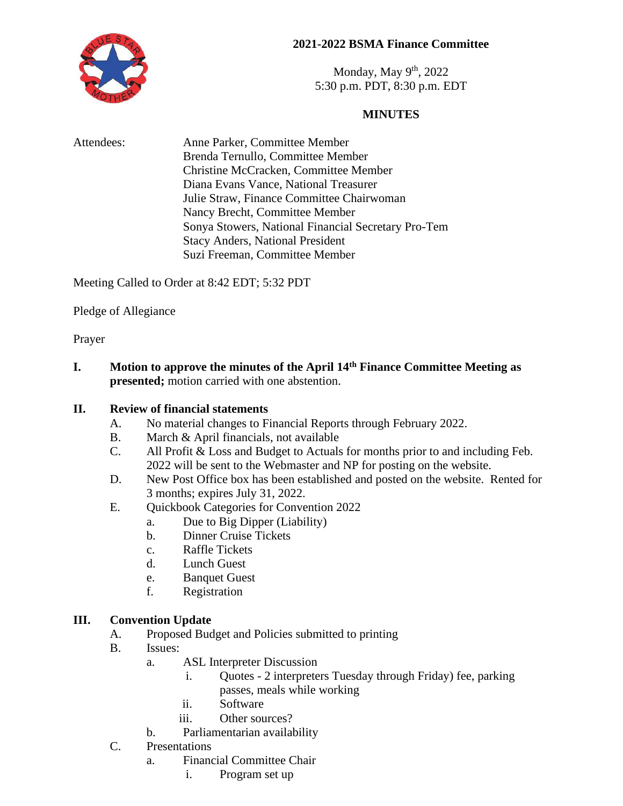# **2021-2022 BSMA Finance Committee**



Monday, May  $9<sup>th</sup>$ , 2022 5:30 p.m. PDT, 8:30 p.m. EDT

# **MINUTES**

| Attendees: | Anne Parker, Committee Member                       |
|------------|-----------------------------------------------------|
|            | Brenda Ternullo, Committee Member                   |
|            | Christine McCracken, Committee Member               |
|            | Diana Evans Vance, National Treasurer               |
|            | Julie Straw, Finance Committee Chairwoman           |
|            | Nancy Brecht, Committee Member                      |
|            | Sonya Stowers, National Financial Secretary Pro-Tem |
|            | <b>Stacy Anders, National President</b>             |
|            | Suzi Freeman, Committee Member                      |

Meeting Called to Order at 8:42 EDT; 5:32 PDT

Pledge of Allegiance

Prayer

**I. Motion to approve the minutes of the April 14th Finance Committee Meeting as presented;** motion carried with one abstention.

### **II. Review of financial statements**

- A. No material changes to Financial Reports through February 2022.
- B. March & April financials, not available
- C. All Profit & Loss and Budget to Actuals for months prior to and including Feb. 2022 will be sent to the Webmaster and NP for posting on the website.
- D. New Post Office box has been established and posted on the website. Rented for 3 months; expires July 31, 2022.
- E. Quickbook Categories for Convention 2022
	- a. Due to Big Dipper (Liability)
	- b. Dinner Cruise Tickets
	- c. Raffle Tickets
	- d. Lunch Guest
	- e. Banquet Guest
	- f. Registration

# **III. Convention Update**

- A. Proposed Budget and Policies submitted to printing
- B. Issues:
	- a. ASL Interpreter Discussion
		- i. Quotes 2 interpreters Tuesday through Friday) fee, parking passes, meals while working
		- ii. Software
		- iii. Other sources?
	- b. Parliamentarian availability
- C. Presentations
	- a. Financial Committee Chair
		- i. Program set up